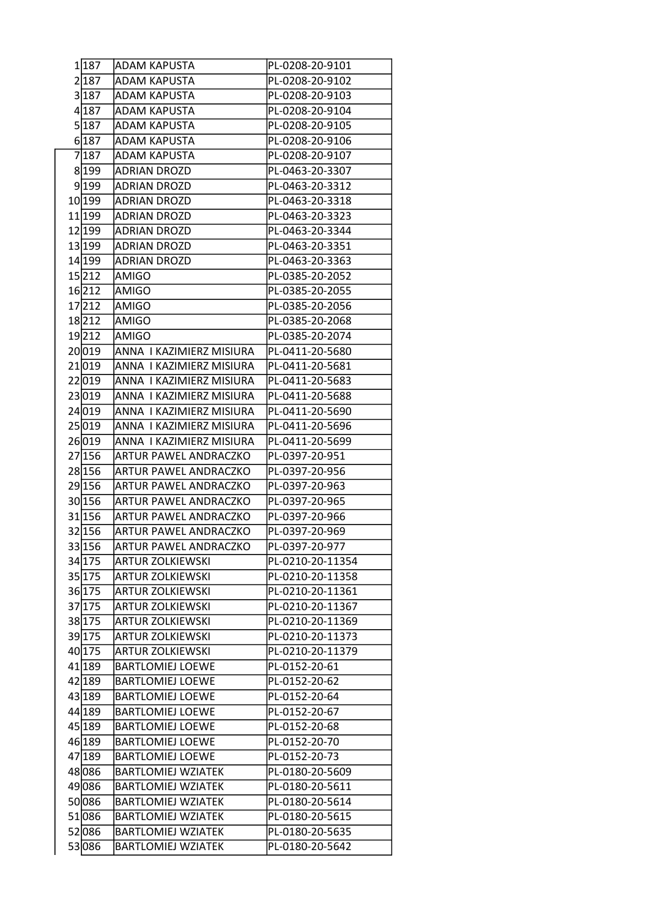| 1 187  | <b>ADAM KAPUSTA</b>          | PL-0208-20-9101  |
|--------|------------------------------|------------------|
| 2 187  | <b>ADAM KAPUSTA</b>          | PL-0208-20-9102  |
| 3 187  | <b>ADAM KAPUSTA</b>          | PL-0208-20-9103  |
| 4 187  | <b>ADAM KAPUSTA</b>          | PL-0208-20-9104  |
| 5 187  | <b>ADAM KAPUSTA</b>          | PL-0208-20-9105  |
| 6 187  | <b>ADAM KAPUSTA</b>          | PL-0208-20-9106  |
| 7187   | <b>ADAM KAPUSTA</b>          | PL-0208-20-9107  |
| 8 199  | <b>ADRIAN DROZD</b>          | PL-0463-20-3307  |
| 9 199  | <b>ADRIAN DROZD</b>          | PL-0463-20-3312  |
| 10 199 | <b>ADRIAN DROZD</b>          | PL-0463-20-3318  |
| 11 199 | <b>ADRIAN DROZD</b>          | PL-0463-20-3323  |
| 12 199 | <b>ADRIAN DROZD</b>          | PL-0463-20-3344  |
| 13 199 | <b>ADRIAN DROZD</b>          | PL-0463-20-3351  |
| 14 199 | <b>ADRIAN DROZD</b>          | PL-0463-20-3363  |
| 15212  | AMIGO                        | PL-0385-20-2052  |
| 16 212 | <b>AMIGO</b>                 | PL-0385-20-2055  |
| 17212  | AMIGO                        | PL-0385-20-2056  |
| 18212  | <b>AMIGO</b>                 | PL-0385-20-2068  |
| 19212  | <b>AMIGO</b>                 | PL-0385-20-2074  |
| 20019  | ANNA I KAZIMIERZ MISIURA     | PL-0411-20-5680  |
| 21019  | ANNA I KAZIMIERZ MISIURA     | PL-0411-20-5681  |
| 22 019 | ANNA I KAZIMIERZ MISIURA     | PL-0411-20-5683  |
| 23 019 | ANNA I KAZIMIERZ MISIURA     | PL-0411-20-5688  |
| 24 019 | ANNA I KAZIMIERZ MISIURA     | PL-0411-20-5690  |
| 25 019 | ANNA I KAZIMIERZ MISIURA     | PL-0411-20-5696  |
| 26019  | ANNA I KAZIMIERZ MISIURA     | PL-0411-20-5699  |
| 27 156 | <b>ARTUR PAWEL ANDRACZKO</b> | PL-0397-20-951   |
| 28 156 | ARTUR PAWEL ANDRACZKO        | PL-0397-20-956   |
| 29 156 | ARTUR PAWEL ANDRACZKO        | PL-0397-20-963   |
| 30 156 | ARTUR PAWEL ANDRACZKO        | PL-0397-20-965   |
| 31 156 | ARTUR PAWEL ANDRACZKO        | PL-0397-20-966   |
| 32 156 | ARTUR PAWEL ANDRACZKO        | PL-0397-20-969   |
| 33 156 | ARTUR PAWEL ANDRACZKO        | PL-0397-20-977   |
| 34 175 | <b>ARTUR ZOLKIEWSKI</b>      | PL-0210-20-11354 |
| 35 175 | <b>ARTUR ZOLKIEWSKI</b>      | PL-0210-20-11358 |
| 36 175 | <b>ARTUR ZOLKIEWSKI</b>      | PL-0210-20-11361 |
| 37 175 | <b>ARTUR ZOLKIEWSKI</b>      | PL-0210-20-11367 |
| 38 175 | <b>ARTUR ZOLKIEWSKI</b>      | PL-0210-20-11369 |
| 39 175 | <b>ARTUR ZOLKIEWSKI</b>      | PL-0210-20-11373 |
| 40 175 | <b>ARTUR ZOLKIEWSKI</b>      | PL-0210-20-11379 |
| 41 189 | <b>BARTLOMIEJ LOEWE</b>      | PL-0152-20-61    |
| 42 189 | <b>BARTLOMIEJ LOEWE</b>      | PL-0152-20-62    |
| 43 189 | <b>BARTLOMIEJ LOEWE</b>      | PL-0152-20-64    |
| 44 189 | <b>BARTLOMIEJ LOEWE</b>      | PL-0152-20-67    |
| 45 189 | <b>BARTLOMIEJ LOEWE</b>      | PL-0152-20-68    |
| 46 189 | <b>BARTLOMIEJ LOEWE</b>      | PL-0152-20-70    |
| 47 189 | <b>BARTLOMIEJ LOEWE</b>      | PL-0152-20-73    |
| 48 086 | <b>BARTLOMIEJ WZIATEK</b>    | PL-0180-20-5609  |
| 49086  | <b>BARTLOMIEJ WZIATEK</b>    | PL-0180-20-5611  |
| 50086  | <b>BARTLOMIEJ WZIATEK</b>    | PL-0180-20-5614  |
| 51086  | <b>BARTLOMIEJ WZIATEK</b>    | PL-0180-20-5615  |
| 52 086 | <b>BARTLOMIEJ WZIATEK</b>    | PL-0180-20-5635  |
| 53086  | <b>BARTLOMIEJ WZIATEK</b>    | PL-0180-20-5642  |
|        |                              |                  |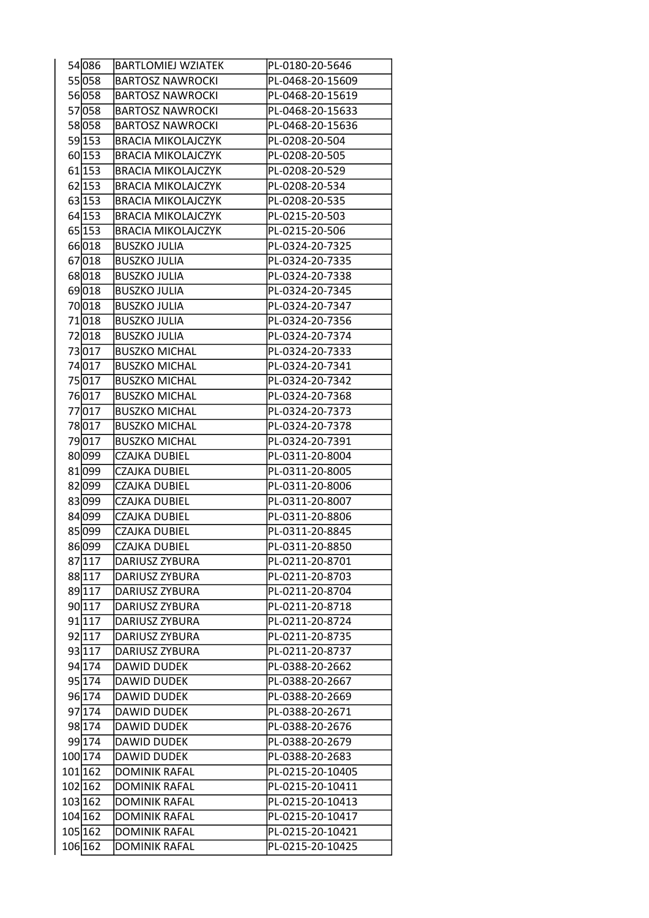| 54 086  | <b>BARTLOMIEJ WZIATEK</b> | PL-0180-20-5646  |
|---------|---------------------------|------------------|
| 55 058  | <b>BARTOSZ NAWROCKI</b>   | PL-0468-20-15609 |
| 56 058  | <b>BARTOSZ NAWROCKI</b>   | PL-0468-20-15619 |
| 57058   | <b>BARTOSZ NAWROCKI</b>   | PL-0468-20-15633 |
| 58 058  | <b>BARTOSZ NAWROCKI</b>   | PL-0468-20-15636 |
| 59 153  | <b>BRACIA MIKOLAJCZYK</b> | PL-0208-20-504   |
| 60 153  | <b>BRACIA MIKOLAJCZYK</b> | PL-0208-20-505   |
| 61 153  | <b>BRACIA MIKOLAJCZYK</b> | PL-0208-20-529   |
| 62 153  | <b>BRACIA MIKOLAJCZYK</b> | PL-0208-20-534   |
| 63 153  | <b>BRACIA MIKOLAJCZYK</b> | PL-0208-20-535   |
| 64 153  | <b>BRACIA MIKOLAJCZYK</b> | PL-0215-20-503   |
| 65 153  | <b>BRACIA MIKOLAJCZYK</b> | PL-0215-20-506   |
| 66018   | <b>BUSZKO JULIA</b>       | PL-0324-20-7325  |
| 67018   | <b>BUSZKO JULIA</b>       | PL-0324-20-7335  |
| 68018   | <b>BUSZKO JULIA</b>       | PL-0324-20-7338  |
| 69018   | <b>BUSZKO JULIA</b>       | PL-0324-20-7345  |
| 70018   | <b>BUSZKO JULIA</b>       | PL-0324-20-7347  |
| 71018   | <b>BUSZKO JULIA</b>       | PL-0324-20-7356  |
| 72018   | <b>BUSZKO JULIA</b>       | PL-0324-20-7374  |
| 73017   | <b>BUSZKO MICHAL</b>      | PL-0324-20-7333  |
| 74 017  | <b>BUSZKO MICHAL</b>      | PL-0324-20-7341  |
| 75017   | <b>BUSZKO MICHAL</b>      | PL-0324-20-7342  |
| 76017   | <b>BUSZKO MICHAL</b>      | PL-0324-20-7368  |
| 77017   | <b>BUSZKO MICHAL</b>      | PL-0324-20-7373  |
| 78017   | <b>BUSZKO MICHAL</b>      | PL-0324-20-7378  |
| 79017   | <b>BUSZKO MICHAL</b>      | PL-0324-20-7391  |
| 80 099  | <b>CZAJKA DUBIEL</b>      | PL-0311-20-8004  |
| 81 099  | <b>CZAJKA DUBIEL</b>      | PL-0311-20-8005  |
| 82 099  | <b>CZAJKA DUBIEL</b>      | PL-0311-20-8006  |
| 83 099  | <b>CZAJKA DUBIEL</b>      | PL-0311-20-8007  |
| 84 099  | <b>CZAJKA DUBIEL</b>      | PL-0311-20-8806  |
| 85 099  | <b>CZAJKA DUBIEL</b>      | PL-0311-20-8845  |
| 86099   | CZAJKA DUBIEL             | PL-0311-20-8850  |
| 87 117  | DARIUSZ ZYBURA            | PL-0211-20-8701  |
| 88 117  | DARIUSZ ZYBURA            | PL-0211-20-8703  |
| 89 117  | DARIUSZ ZYBURA            | PL-0211-20-8704  |
| 90 117  | DARIUSZ ZYBURA            | PL-0211-20-8718  |
| 91 117  | DARIUSZ ZYBURA            | PL-0211-20-8724  |
| 92 117  | DARIUSZ ZYBURA            | PL-0211-20-8735  |
| 93 117  | DARIUSZ ZYBURA            | PL-0211-20-8737  |
| 94 174  | <b>DAWID DUDEK</b>        | PL-0388-20-2662  |
| 95 174  | <b>DAWID DUDEK</b>        | PL-0388-20-2667  |
| 96 174  | <b>DAWID DUDEK</b>        | PL-0388-20-2669  |
| 97 174  | <b>DAWID DUDEK</b>        | PL-0388-20-2671  |
| 98 174  | <b>DAWID DUDEK</b>        | PL-0388-20-2676  |
| 99 174  | <b>DAWID DUDEK</b>        | PL-0388-20-2679  |
| 100 174 | <b>DAWID DUDEK</b>        | PL-0388-20-2683  |
| 101 162 | <b>DOMINIK RAFAL</b>      | PL-0215-20-10405 |
| 102 162 | DOMINIK RAFAL             | PL-0215-20-10411 |
| 103 162 | <b>DOMINIK RAFAL</b>      | PL-0215-20-10413 |
| 104 162 | <b>DOMINIK RAFAL</b>      | PL-0215-20-10417 |
| 105 162 | <b>DOMINIK RAFAL</b>      | PL-0215-20-10421 |
| 106 162 | <b>DOMINIK RAFAL</b>      | PL-0215-20-10425 |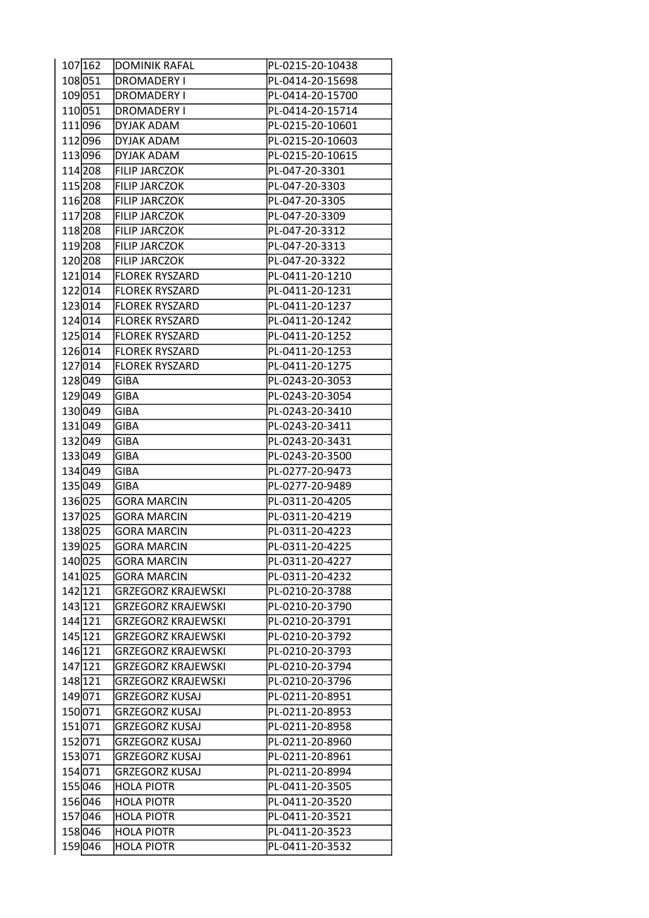| 107 162 | <b>DOMINIK RAFAL</b>      | PL-0215-20-10438 |
|---------|---------------------------|------------------|
| 108051  | <b>DROMADERY I</b>        | PL-0414-20-15698 |
| 109051  | <b>DROMADERY I</b>        | PL-0414-20-15700 |
| 110051  | <b>DROMADERY I</b>        | PL-0414-20-15714 |
| 111 096 | DYJAK ADAM                | PL-0215-20-10601 |
| 112096  | <b>DYJAK ADAM</b>         | PL-0215-20-10603 |
| 113096  | <b>DYJAK ADAM</b>         | PL-0215-20-10615 |
| 114 208 | <b>FILIP JARCZOK</b>      | PL-047-20-3301   |
| 115 208 | <b>FILIP JARCZOK</b>      | PL-047-20-3303   |
| 116 208 | <b>FILIP JARCZOK</b>      | PL-047-20-3305   |
| 117 208 | <b>FILIP JARCZOK</b>      | PL-047-20-3309   |
| 118 208 | <b>FILIP JARCZOK</b>      | PL-047-20-3312   |
| 119 208 | <b>FILIP JARCZOK</b>      | PL-047-20-3313   |
| 120 208 | <b>FILIP JARCZOK</b>      | PL-047-20-3322   |
| 121014  | <b>FLOREK RYSZARD</b>     | PL-0411-20-1210  |
| 122014  | <b>FLOREK RYSZARD</b>     | PL-0411-20-1231  |
| 123014  | <b>FLOREK RYSZARD</b>     | PL-0411-20-1237  |
| 124 014 | <b>FLOREK RYSZARD</b>     | PL-0411-20-1242  |
| 125014  | <b>FLOREK RYSZARD</b>     | PL-0411-20-1252  |
| 126014  | <b>FLOREK RYSZARD</b>     | PL-0411-20-1253  |
| 127014  | <b>FLOREK RYSZARD</b>     | PL-0411-20-1275  |
| 128049  | <b>GIBA</b>               | PL-0243-20-3053  |
| 129049  | <b>GIBA</b>               | PL-0243-20-3054  |
| 130049  | <b>GIBA</b>               | PL-0243-20-3410  |
| 131 049 | <b>GIBA</b>               | PL-0243-20-3411  |
| 132 049 | <b>GIBA</b>               | PL-0243-20-3431  |
| 133049  | <b>GIBA</b>               | PL-0243-20-3500  |
| 134 049 | <b>GIBA</b>               | PL-0277-20-9473  |
| 135 049 | <b>GIBA</b>               | PL-0277-20-9489  |
| 136025  | <b>GORA MARCIN</b>        | PL-0311-20-4205  |
| 137025  | <b>GORA MARCIN</b>        | PL-0311-20-4219  |
| 138025  | <b>GORA MARCIN</b>        | PL-0311-20-4223  |
| 139025  | GORA MARCIN               | PL-0311-20-4225  |
| 140025  | <b>GORA MARCIN</b>        | PL-0311-20-4227  |
| 141 025 | <b>GORA MARCIN</b>        | PL-0311-20-4232  |
| 142 121 | <b>GRZEGORZ KRAJEWSKI</b> | PL-0210-20-3788  |
| 143 121 | <b>GRZEGORZ KRAJEWSKI</b> | PL-0210-20-3790  |
| 144 121 | <b>GRZEGORZ KRAJEWSKI</b> | PL-0210-20-3791  |
| 145 121 | <b>GRZEGORZ KRAJEWSKI</b> | PL-0210-20-3792  |
| 146 121 | <b>GRZEGORZ KRAJEWSKI</b> | PL-0210-20-3793  |
| 147 121 | <b>GRZEGORZ KRAJEWSKI</b> | PL-0210-20-3794  |
| 148 121 | <b>GRZEGORZ KRAJEWSKI</b> | PL-0210-20-3796  |
| 149071  | <b>GRZEGORZ KUSAJ</b>     | PL-0211-20-8951  |
| 150071  | <b>GRZEGORZ KUSAJ</b>     | PL-0211-20-8953  |
| 151071  | GRZEGORZ KUSAJ            | PL-0211-20-8958  |
| 152 071 | <b>GRZEGORZ KUSAJ</b>     | PL-0211-20-8960  |
| 153071  | <b>GRZEGORZ KUSAJ</b>     | PL-0211-20-8961  |
| 154 071 | <b>GRZEGORZ KUSAJ</b>     | PL-0211-20-8994  |
| 155046  | <b>HOLA PIOTR</b>         | PL-0411-20-3505  |
| 156046  | <b>HOLA PIOTR</b>         | PL-0411-20-3520  |
| 157046  | <b>HOLA PIOTR</b>         | PL-0411-20-3521  |
| 158046  | <b>HOLA PIOTR</b>         | PL-0411-20-3523  |
| 159046  | <b>HOLA PIOTR</b>         | PL-0411-20-3532  |
|         |                           |                  |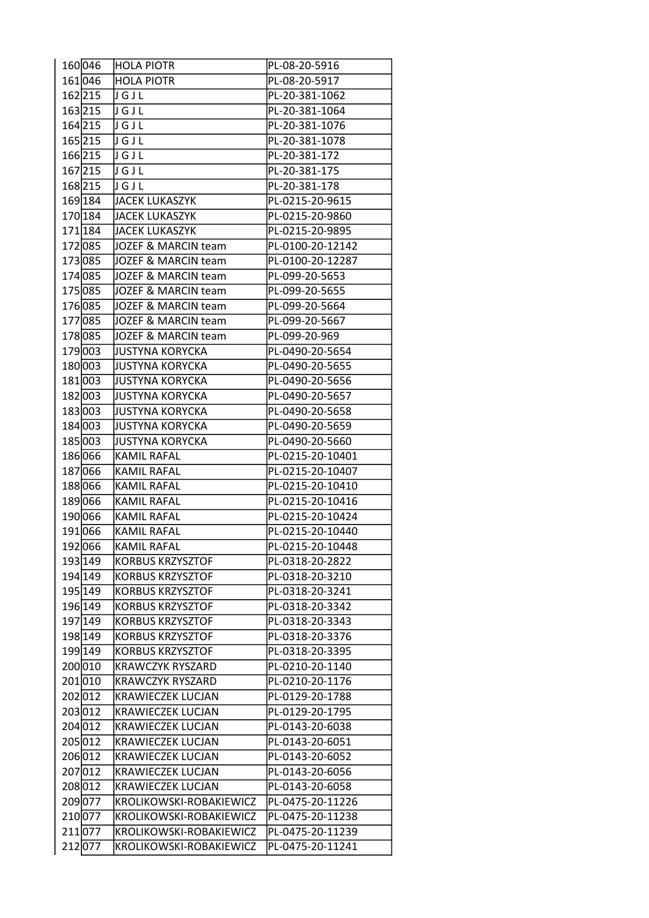| 160046  | HOLA PIOTR               | PL-08-20-5916    |
|---------|--------------------------|------------------|
| 161046  | HOLA PIOTR               | PL-08-20-5917    |
| 162215  | JGJL                     | PL-20-381-1062   |
| 163 215 | JGJL                     | PL-20-381-1064   |
| 164215  | りGJL                     | PL-20-381-1076   |
| 165215  | <u>nenr</u>              | PL-20-381-1078   |
| 166215  | <b>J</b> G J L           | PL-20-381-172    |
| 167 215 | JGJL                     | PL-20-381-175    |
| 168 215 | Jugul                    | PL-20-381-178    |
| 169 184 | JACEK LUKASZYK           | PL-0215-20-9615  |
| 170 184 | JACEK LUKASZYK           | PL-0215-20-9860  |
| 171 184 | JACEK LUKASZYK           | PL-0215-20-9895  |
| 172085  | JOZEF & MARCIN team      | PL-0100-20-12142 |
| 173085  | JOZEF & MARCIN team      | PL-0100-20-12287 |
| 174085  | JOZEF & MARCIN team      | PL-099-20-5653   |
| 175085  | JOZEF & MARCIN team      | PL-099-20-5655   |
| 176085  | JOZEF & MARCIN team      | PL-099-20-5664   |
| 177085  | JOZEF & MARCIN team      | PL-099-20-5667   |
| 178085  | JOZEF & MARCIN team      | PL-099-20-969    |
| 179003  | JUSTYNA KORYCKA          | PL-0490-20-5654  |
| 180003  | JUSTYNA KORYCKA          | PL-0490-20-5655  |
| 181003  | JUSTYNA KORYCKA          | PL-0490-20-5656  |
| 182003  | JUSTYNA KORYCKA          | PL-0490-20-5657  |
| 183003  | JUSTYNA KORYCKA          | PL-0490-20-5658  |
| 184 003 | <b>JUSTYNA KORYCKA</b>   | PL-0490-20-5659  |
| 185003  | JUSTYNA KORYCKA          | PL-0490-20-5660  |
| 186066  | <b>KAMIL RAFAL</b>       | PL-0215-20-10401 |
| 187066  | <b>KAMIL RAFAL</b>       | PL-0215-20-10407 |
| 188066  | <b>KAMIL RAFAL</b>       | PL-0215-20-10410 |
| 189066  | KAMIL RAFAL              | PL-0215-20-10416 |
| 190066  | <b>KAMIL RAFAL</b>       | PL-0215-20-10424 |
| 191066  | <b>KAMIL RAFAL</b>       | PL-0215-20-10440 |
| 192066  | KAMIL RAFAL              | PL-0215-20-10448 |
| 193 149 | <b>KORBUS KRZYSZTOF</b>  | PL-0318-20-2822  |
| 194 149 | <b>KORBUS KRZYSZTOF</b>  | PL-0318-20-3210  |
| 195 149 | <b>KORBUS KRZYSZTOF</b>  | PL-0318-20-3241  |
| 196 149 | <b>KORBUS KRZYSZTOF</b>  | PL-0318-20-3342  |
| 197 149 | <b>KORBUS KRZYSZTOF</b>  | PL-0318-20-3343  |
| 198 149 | <b>KORBUS KRZYSZTOF</b>  | PL-0318-20-3376  |
| 199 149 | <b>KORBUS KRZYSZTOF</b>  | PL-0318-20-3395  |
| 200010  | <b>KRAWCZYK RYSZARD</b>  | PL-0210-20-1140  |
| 201010  | <b>KRAWCZYK RYSZARD</b>  | PL-0210-20-1176  |
| 202012  | <b>KRAWIECZEK LUCJAN</b> | PL-0129-20-1788  |
| 203012  | <b>KRAWIECZEK LUCJAN</b> | PL-0129-20-1795  |
| 204012  | <b>KRAWIECZEK LUCJAN</b> | PL-0143-20-6038  |
| 205012  | <b>KRAWIECZEK LUCJAN</b> | PL-0143-20-6051  |
| 206012  | <b>KRAWIECZEK LUCJAN</b> | PL-0143-20-6052  |
| 207012  | <b>KRAWIECZEK LUCJAN</b> | PL-0143-20-6056  |
| 208012  | <b>KRAWIECZEK LUCJAN</b> | PL-0143-20-6058  |
| 209077  | KROLIKOWSKI-ROBAKIEWICZ  | PL-0475-20-11226 |
| 210077  | KROLIKOWSKI-ROBAKIEWICZ  | PL-0475-20-11238 |
| 211077  | KROLIKOWSKI-ROBAKIEWICZ  | PL-0475-20-11239 |
| 212 077 | KROLIKOWSKI-ROBAKIEWICZ  | PL-0475-20-11241 |
|         |                          |                  |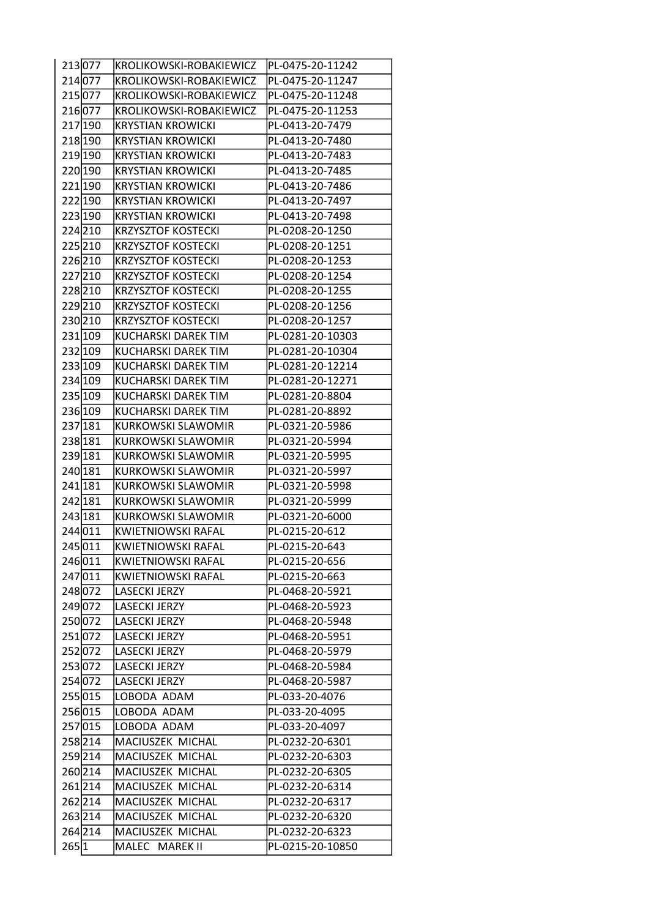| 213077  | KROLIKOWSKI-ROBAKIEWICZ    | PL-0475-20-11242 |
|---------|----------------------------|------------------|
| 214 077 | KROLIKOWSKI-ROBAKIEWICZ    | PL-0475-20-11247 |
| 215077  | KROLIKOWSKI-ROBAKIEWICZ    | PL-0475-20-11248 |
| 216077  | KROLIKOWSKI-ROBAKIEWICZ    | PL-0475-20-11253 |
| 217 190 | <b>KRYSTIAN KROWICKI</b>   | PL-0413-20-7479  |
| 218 190 | <b>KRYSTIAN KROWICKI</b>   | PL-0413-20-7480  |
| 219 190 | <b>KRYSTIAN KROWICKI</b>   | PL-0413-20-7483  |
| 220 190 | <b>KRYSTIAN KROWICKI</b>   | PL-0413-20-7485  |
| 221 190 | <b>KRYSTIAN KROWICKI</b>   | PL-0413-20-7486  |
| 222 190 | <b>KRYSTIAN KROWICKI</b>   | PL-0413-20-7497  |
| 223 190 | <b>KRYSTIAN KROWICKI</b>   | PL-0413-20-7498  |
| 224 210 | <b>KRZYSZTOF KOSTECKI</b>  | PL-0208-20-1250  |
| 225 210 | <b>KRZYSZTOF KOSTECKI</b>  | PL-0208-20-1251  |
| 226 210 | <b>KRZYSZTOF KOSTECKI</b>  | PL-0208-20-1253  |
| 227210  | <b>KRZYSZTOF KOSTECKI</b>  | PL-0208-20-1254  |
| 228 210 | <b>KRZYSZTOF KOSTECKI</b>  | PL-0208-20-1255  |
| 229210  | <b>KRZYSZTOF KOSTECKI</b>  | PL-0208-20-1256  |
| 230210  | <b>KRZYSZTOF KOSTECKI</b>  | PL-0208-20-1257  |
| 231 109 | <b>KUCHARSKI DAREK TIM</b> | PL-0281-20-10303 |
| 232 109 | <b>KUCHARSKI DAREK TIM</b> | PL-0281-20-10304 |
| 233 109 | KUCHARSKI DAREK TIM        | PL-0281-20-12214 |
| 234 109 | KUCHARSKI DAREK TIM        | PL-0281-20-12271 |
| 235 109 | KUCHARSKI DAREK TIM        | PL-0281-20-8804  |
| 236 109 | KUCHARSKI DAREK TIM        | PL-0281-20-8892  |
| 237 181 | <b>KURKOWSKI SLAWOMIR</b>  | PL-0321-20-5986  |
| 238 181 | <b>KURKOWSKI SLAWOMIR</b>  | PL-0321-20-5994  |
| 239 181 | <b>KURKOWSKI SLAWOMIR</b>  | PL-0321-20-5995  |
| 240 181 | <b>KURKOWSKI SLAWOMIR</b>  | PL-0321-20-5997  |
| 241 181 | <b>KURKOWSKI SLAWOMIR</b>  | PL-0321-20-5998  |
| 242 181 | <b>KURKOWSKI SLAWOMIR</b>  | PL-0321-20-5999  |
| 243 181 | <b>KURKOWSKI SLAWOMIR</b>  | PL-0321-20-6000  |
| 244 011 | <b>KWIETNIOWSKI RAFAL</b>  | PL-0215-20-612   |
| 245011  | <b>KWIETNIOWSKI RAFAL</b>  | PL-0215-20-643   |
| 246 011 | KWIETNIOWSKI RAFAL         | PL-0215-20-656   |
| 247 011 | KWIETNIOWSKI RAFAL         | PL-0215-20-663   |
| 248072  | <b>LASECKI JERZY</b>       | PL-0468-20-5921  |
| 249072  | <b>LASECKI JERZY</b>       | PL-0468-20-5923  |
| 250 072 | <b>LASECKI JERZY</b>       | PL-0468-20-5948  |
| 251072  | <b>LASECKI JERZY</b>       | PL-0468-20-5951  |
| 252072  | <b>LASECKI JERZY</b>       | PL-0468-20-5979  |
| 253072  | <b>LASECKI JERZY</b>       | PL-0468-20-5984  |
| 254 072 | <b>LASECKI JERZY</b>       | PL-0468-20-5987  |
| 255015  | LOBODA ADAM                | PL-033-20-4076   |
| 256015  | LOBODA ADAM                | PL-033-20-4095   |
| 257015  | LOBODA ADAM                | PL-033-20-4097   |
| 258 214 | MACIUSZEK MICHAL           | PL-0232-20-6301  |
| 259214  | MACIUSZEK MICHAL           | PL-0232-20-6303  |
| 260 214 | MACIUSZEK MICHAL           | PL-0232-20-6305  |
| 261214  | MACIUSZEK MICHAL           | PL-0232-20-6314  |
| 262214  | MACIUSZEK MICHAL           | PL-0232-20-6317  |
| 263 214 | MACIUSZEK MICHAL           | PL-0232-20-6320  |
| 264 214 | MACIUSZEK MICHAL           | PL-0232-20-6323  |
| 265 1   | MALEC MAREK II             | PL-0215-20-10850 |
|         |                            |                  |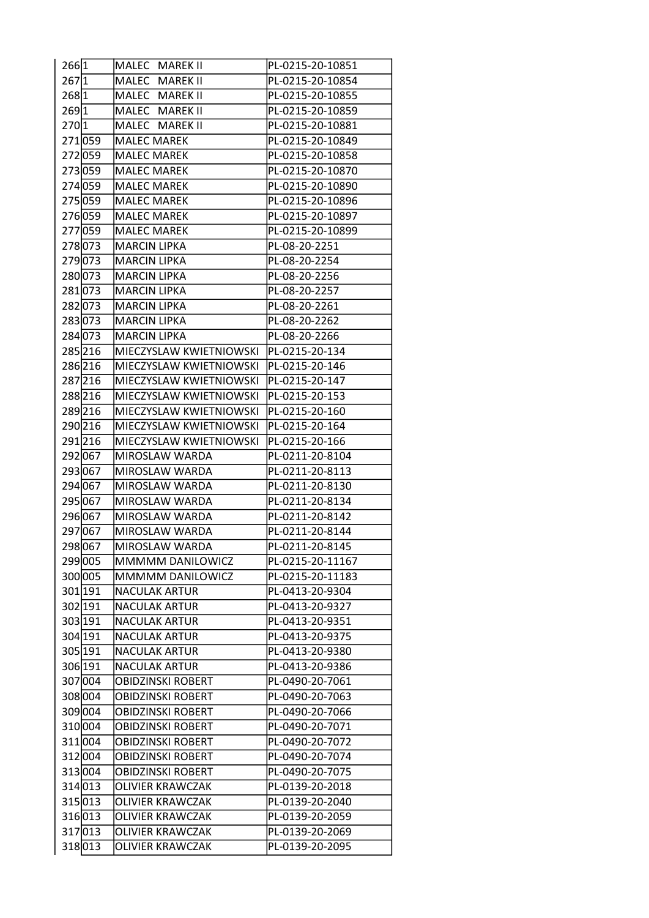| 266 1 |         | MALEC MAREK II           | PL-0215-20-10851 |
|-------|---------|--------------------------|------------------|
| 267 1 |         | MALEC MAREK II           | PL-0215-20-10854 |
| 2681  |         | MALEC MAREK II           | PL-0215-20-10855 |
| 2691  |         | MALEC MAREK II           | PL-0215-20-10859 |
| 2701  |         | MALEC MAREK II           | PL-0215-20-10881 |
|       | 271059  | <b>MALEC MAREK</b>       | PL-0215-20-10849 |
|       | 272059  | <b>MALEC MAREK</b>       | PL-0215-20-10858 |
|       | 273059  | <b>MALEC MAREK</b>       | PL-0215-20-10870 |
|       | 274059  | <b>MALEC MAREK</b>       | PL-0215-20-10890 |
|       | 275059  | <b>MALEC MAREK</b>       | PL-0215-20-10896 |
|       | 276059  | <b>MALEC MAREK</b>       | PL-0215-20-10897 |
|       | 277059  | <b>MALEC MAREK</b>       | PL-0215-20-10899 |
|       | 278073  | <b>MARCIN LIPKA</b>      | PL-08-20-2251    |
|       | 279 073 | <b>MARCIN LIPKA</b>      | PL-08-20-2254    |
|       | 280073  | <b>MARCIN LIPKA</b>      | PL-08-20-2256    |
|       | 281073  | <b>MARCIN LIPKA</b>      | PL-08-20-2257    |
|       | 282 073 | <b>MARCIN LIPKA</b>      | PL-08-20-2261    |
|       | 283073  | <b>MARCIN LIPKA</b>      | PL-08-20-2262    |
|       | 284 073 | <b>MARCIN LIPKA</b>      | PL-08-20-2266    |
|       | 285216  | MIECZYSLAW KWIETNIOWSKI  | PL-0215-20-134   |
|       | 286 216 | MIECZYSLAW KWIETNIOWSKI  | PL-0215-20-146   |
|       | 287 216 | MIECZYSLAW KWIETNIOWSKI  | PL-0215-20-147   |
|       | 288216  | MIECZYSLAW KWIETNIOWSKI  | PL-0215-20-153   |
|       | 289216  | MIECZYSLAW KWIETNIOWSKI  | PL-0215-20-160   |
|       | 290 216 | MIECZYSLAW KWIETNIOWSKI  | PL-0215-20-164   |
|       | 291216  | MIECZYSLAW KWIETNIOWSKI  | PL-0215-20-166   |
|       | 292 067 | MIROSLAW WARDA           | PL-0211-20-8104  |
|       | 293067  | MIROSLAW WARDA           | PL-0211-20-8113  |
|       | 294 067 | MIROSLAW WARDA           | PL-0211-20-8130  |
|       | 295 067 | MIROSLAW WARDA           | PL-0211-20-8134  |
|       | 296 067 | MIROSLAW WARDA           | PL-0211-20-8142  |
|       | 297067  | MIROSLAW WARDA           | PL-0211-20-8144  |
|       | 298067  | MIROSLAW WARDA           | PL-0211-20-8145  |
|       | 299 005 | MMMMM DANILOWICZ         | PL-0215-20-11167 |
|       | 300 005 | MMMMM DANILOWICZ         | PL-0215-20-11183 |
|       | 301 191 | <b>NACULAK ARTUR</b>     | PL-0413-20-9304  |
|       | 302 191 | <b>NACULAK ARTUR</b>     | PL-0413-20-9327  |
|       | 303 191 | <b>NACULAK ARTUR</b>     | PL-0413-20-9351  |
|       | 304 191 | <b>NACULAK ARTUR</b>     | PL-0413-20-9375  |
|       | 305 191 | <b>NACULAK ARTUR</b>     | PL-0413-20-9380  |
|       | 306 191 | <b>NACULAK ARTUR</b>     | PL-0413-20-9386  |
|       | 307 004 | OBIDZINSKI ROBERT        | PL-0490-20-7061  |
|       | 308 004 | <b>OBIDZINSKI ROBERT</b> | PL-0490-20-7063  |
|       | 309004  | <b>OBIDZINSKI ROBERT</b> | PL-0490-20-7066  |
|       | 310004  | <b>OBIDZINSKI ROBERT</b> | PL-0490-20-7071  |
|       | 311 004 | <b>OBIDZINSKI ROBERT</b> | PL-0490-20-7072  |
|       | 312 004 | <b>OBIDZINSKI ROBERT</b> | PL-0490-20-7074  |
|       | 313004  | OBIDZINSKI ROBERT        | PL-0490-20-7075  |
|       | 314 013 | <b>OLIVIER KRAWCZAK</b>  | PL-0139-20-2018  |
|       | 315 013 | <b>OLIVIER KRAWCZAK</b>  | PL-0139-20-2040  |
|       | 316013  | <b>OLIVIER KRAWCZAK</b>  | PL-0139-20-2059  |
|       | 317013  | <b>OLIVIER KRAWCZAK</b>  | PL-0139-20-2069  |
|       | 318013  | OLIVIER KRAWCZAK         | PL-0139-20-2095  |
|       |         |                          |                  |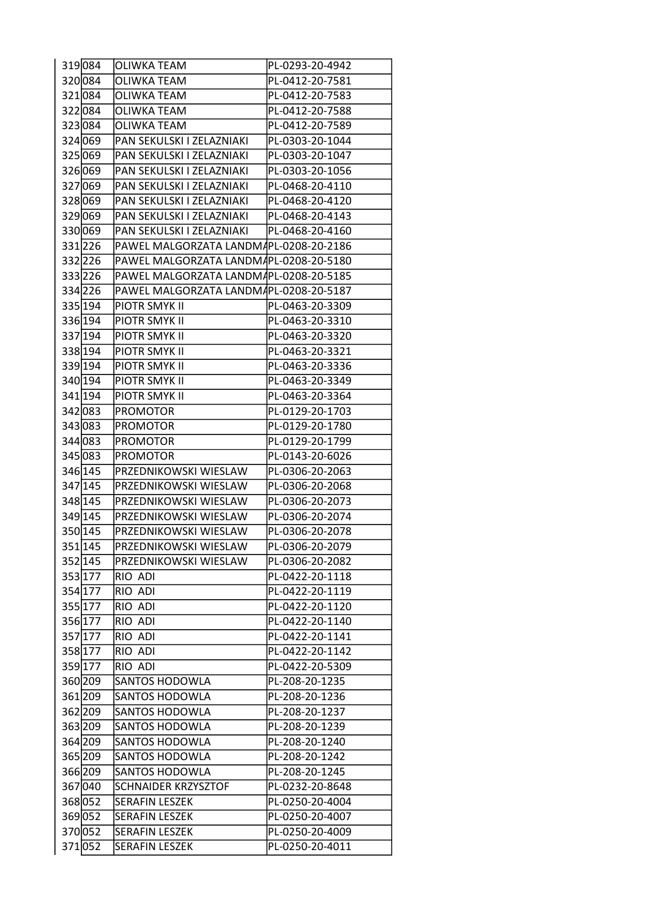| 319084  | <b>OLIWKA TEAM</b>                     | PL-0293-20-4942 |
|---------|----------------------------------------|-----------------|
| 320084  | <b>OLIWKA TEAM</b>                     | PL-0412-20-7581 |
| 321 084 | <b>OLIWKA TEAM</b>                     | PL-0412-20-7583 |
| 322084  | <b>OLIWKA TEAM</b>                     | PL-0412-20-7588 |
| 323084  | <b>OLIWKA TEAM</b>                     | PL-0412-20-7589 |
| 324 069 | PAN SEKULSKI I ZELAZNIAKI              | PL-0303-20-1044 |
| 325 069 | PAN SEKULSKI I ZELAZNIAKI              | PL-0303-20-1047 |
| 326 069 | PAN SEKULSKI I ZELAZNIAKI              | PL-0303-20-1056 |
| 327069  | PAN SEKULSKI I ZELAZNIAKI              | PL-0468-20-4110 |
| 328 069 | PAN SEKULSKI I ZELAZNIAKI              | PL-0468-20-4120 |
| 329069  | PAN SEKULSKI I ZELAZNIAKI              | PL-0468-20-4143 |
| 330 069 | PAN SEKULSKI I ZELAZNIAKI              | PL-0468-20-4160 |
| 331226  | PAWEL MALGORZATA LANDM4PL-0208-20-2186 |                 |
| 332 226 | PAWEL MALGORZATA LANDM/PL-0208-20-5180 |                 |
| 333226  | PAWEL MALGORZATA LANDM4PL-0208-20-5185 |                 |
| 334226  | PAWEL MALGORZATA LANDMAPL-0208-20-5187 |                 |
| 335 194 | PIOTR SMYK II                          | PL-0463-20-3309 |
| 336 194 | PIOTR SMYK II                          | PL-0463-20-3310 |
| 337194  | PIOTR SMYK II                          | PL-0463-20-3320 |
| 338 194 | <b>PIOTR SMYK II</b>                   | PL-0463-20-3321 |
| 339 194 | PIOTR SMYK II                          | PL-0463-20-3336 |
| 340 194 | PIOTR SMYK II                          | PL-0463-20-3349 |
| 341 194 | PIOTR SMYK II                          | PL-0463-20-3364 |
| 342 083 | <b>PROMOTOR</b>                        | PL-0129-20-1703 |
| 343 083 | <b>PROMOTOR</b>                        | PL-0129-20-1780 |
| 344 083 | <b>PROMOTOR</b>                        | PL-0129-20-1799 |
| 345 083 | <b>PROMOTOR</b>                        | PL-0143-20-6026 |
| 346 145 | PRZEDNIKOWSKI WIESLAW                  | PL-0306-20-2063 |
| 347 145 | PRZEDNIKOWSKI WIESLAW                  | PL-0306-20-2068 |
| 348 145 | PRZEDNIKOWSKI WIESLAW                  | PL-0306-20-2073 |
| 349 145 | PRZEDNIKOWSKI WIESLAW                  | PL-0306-20-2074 |
| 350 145 | PRZEDNIKOWSKI WIESLAW                  | PL-0306-20-2078 |
| 351145  | PRZEDNIKOWSKI WIESLAW                  | PL-0306-20-2079 |
| 352 145 | PRZEDNIKOWSKI WIESLAW                  | PL-0306-20-2082 |
| 353 177 | RIO ADI                                | PL-0422-20-1118 |
| 354 177 | RIO ADI                                | PL-0422-20-1119 |
| 355 177 | RIO ADI                                | PL-0422-20-1120 |
| 356 177 | RIO ADI                                | PL-0422-20-1140 |
| 357 177 | RIO ADI                                | PL-0422-20-1141 |
| 358 177 | RIO ADI                                | PL-0422-20-1142 |
| 359 177 | RIO ADI                                | PL-0422-20-5309 |
| 360 209 | <b>SANTOS HODOWLA</b>                  | PL-208-20-1235  |
| 361 209 | <b>SANTOS HODOWLA</b>                  | PL-208-20-1236  |
| 362 209 | <b>SANTOS HODOWLA</b>                  | PL-208-20-1237  |
| 363 209 | <b>SANTOS HODOWLA</b>                  | PL-208-20-1239  |
| 364 209 | <b>SANTOS HODOWLA</b>                  | PL-208-20-1240  |
| 365 209 | SANTOS HODOWLA                         | PL-208-20-1242  |
| 366 209 | <b>SANTOS HODOWLA</b>                  | PL-208-20-1245  |
| 367040  | <b>SCHNAIDER KRZYSZTOF</b>             | PL-0232-20-8648 |
| 368 052 | <b>SERAFIN LESZEK</b>                  | PL-0250-20-4004 |
| 369 052 | <b>SERAFIN LESZEK</b>                  | PL-0250-20-4007 |
| 370 052 | <b>SERAFIN LESZEK</b>                  | PL-0250-20-4009 |
| 371052  | <b>SERAFIN LESZEK</b>                  | PL-0250-20-4011 |
|         |                                        |                 |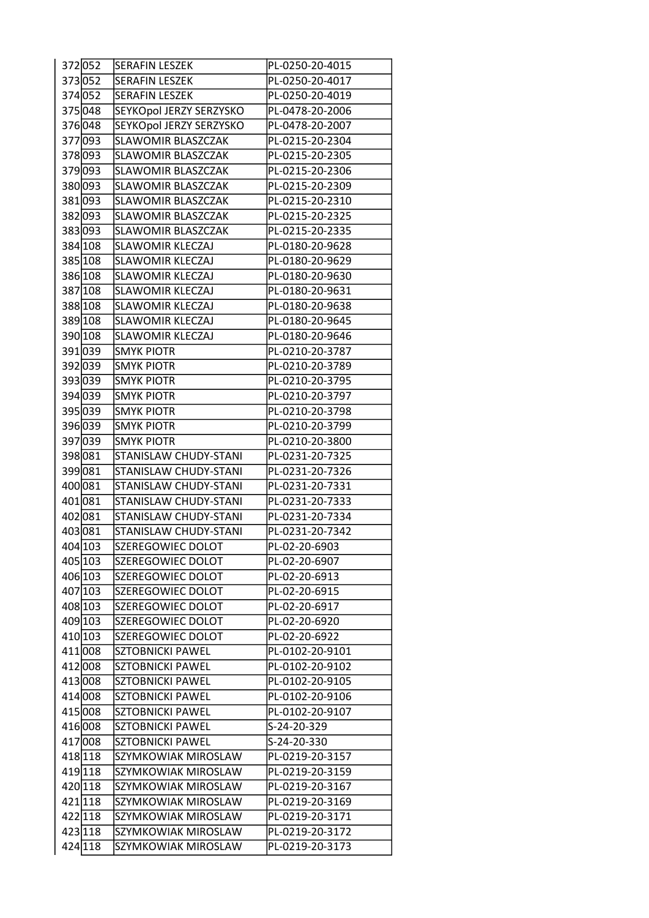| PL-0250-20-4017<br>373052<br><b>SERAFIN LESZEK</b><br>374 052<br><b>SERAFIN LESZEK</b><br>PL-0250-20-4019<br>SEYKOpol JERZY SERZYSKO<br>375 048<br>PL-0478-20-2006<br>SEYKOpol JERZY SERZYSKO<br>376048<br>PL-0478-20-2007<br>377093<br>SLAWOMIR BLASZCZAK<br>PL-0215-20-2304<br>378 093<br>SLAWOMIR BLASZCZAK<br>PL-0215-20-2305<br>379 093<br>SLAWOMIR BLASZCZAK<br>PL-0215-20-2306<br>380 093<br>SLAWOMIR BLASZCZAK<br>PL-0215-20-2309<br>381 093<br>PL-0215-20-2310<br><b>SLAWOMIR BLASZCZAK</b><br>382 093<br><b>SLAWOMIR BLASZCZAK</b><br>PL-0215-20-2325<br>383 093<br><b>SLAWOMIR BLASZCZAK</b><br>PL-0215-20-2335<br>384 108<br><b>SLAWOMIR KLECZAJ</b><br>PL-0180-20-9628<br><b>SLAWOMIR KLECZAJ</b><br>385 108<br>PL-0180-20-9629<br>386 108<br><b>SLAWOMIR KLECZAJ</b><br>PL-0180-20-9630<br>387 108<br><b>SLAWOMIR KLECZAJ</b><br>PL-0180-20-9631<br>388 108<br><b>SLAWOMIR KLECZAJ</b><br>PL-0180-20-9638<br>389 108<br><b>SLAWOMIR KLECZAJ</b><br>PL-0180-20-9645<br>390 108<br><b>SLAWOMIR KLECZAJ</b><br>PL-0180-20-9646<br>391039<br><b>SMYK PIOTR</b><br>PL-0210-20-3787<br>392 039<br><b>SMYK PIOTR</b><br>PL-0210-20-3789<br>393039<br><b>SMYK PIOTR</b><br>PL-0210-20-3795<br>394 039<br><b>SMYK PIOTR</b><br>PL-0210-20-3797<br>395 039<br><b>SMYK PIOTR</b><br>PL-0210-20-3798<br>396 039<br><b>SMYK PIOTR</b><br>PL-0210-20-3799<br>397039<br><b>SMYK PIOTR</b><br>PL-0210-20-3800<br>398081<br>STANISLAW CHUDY-STANI<br>PL-0231-20-7325<br>399 081<br>STANISLAW CHUDY-STANI<br>PL-0231-20-7326<br>400081<br><b>STANISLAW CHUDY-STANI</b><br>PL-0231-20-7331<br>401 081<br>STANISLAW CHUDY-STANI<br>PL-0231-20-7333<br>402 081<br><b>STANISLAW CHUDY-STANI</b><br>PL-0231-20-7334<br>403081<br>STANISLAW CHUDY-STANI<br>PL-0231-20-7342<br>404 103<br>SZEREGOWIEC DOLOT<br>PL-02-20-6903<br>405 103<br>SZEREGOWIEC DOLOT<br>PL-02-20-6907<br>406 103<br>SZEREGOWIEC DOLOT<br>PL-02-20-6913<br>407 103<br>SZEREGOWIEC DOLOT<br>PL-02-20-6915<br>408 103<br><b>SZEREGOWIEC DOLOT</b><br>PL-02-20-6917<br>409 103<br>SZEREGOWIEC DOLOT<br>PL-02-20-6920<br>410 103<br>SZEREGOWIEC DOLOT<br>PL-02-20-6922<br>411 008<br><b>SZTOBNICKI PAWEL</b><br>PL-0102-20-9101<br>412 008<br><b>SZTOBNICKI PAWEL</b><br>PL-0102-20-9102<br>413008<br><b>SZTOBNICKI PAWEL</b><br>PL-0102-20-9105<br>414 008<br><b>SZTOBNICKI PAWEL</b><br>PL-0102-20-9106<br>415 008<br><b>SZTOBNICKI PAWEL</b><br>PL-0102-20-9107<br>416 008<br><b>SZTOBNICKI PAWEL</b><br>S-24-20-329 |
|---------------------------------------------------------------------------------------------------------------------------------------------------------------------------------------------------------------------------------------------------------------------------------------------------------------------------------------------------------------------------------------------------------------------------------------------------------------------------------------------------------------------------------------------------------------------------------------------------------------------------------------------------------------------------------------------------------------------------------------------------------------------------------------------------------------------------------------------------------------------------------------------------------------------------------------------------------------------------------------------------------------------------------------------------------------------------------------------------------------------------------------------------------------------------------------------------------------------------------------------------------------------------------------------------------------------------------------------------------------------------------------------------------------------------------------------------------------------------------------------------------------------------------------------------------------------------------------------------------------------------------------------------------------------------------------------------------------------------------------------------------------------------------------------------------------------------------------------------------------------------------------------------------------------------------------------------------------------------------------------------------------------------------------------------------------------------------------------------------------------------------------------------------------------------------------------------------------------------------------------------------------------------------------------------------------------------------------------------------------------------------------------------------------------------------------------------------------------------------|
|                                                                                                                                                                                                                                                                                                                                                                                                                                                                                                                                                                                                                                                                                                                                                                                                                                                                                                                                                                                                                                                                                                                                                                                                                                                                                                                                                                                                                                                                                                                                                                                                                                                                                                                                                                                                                                                                                                                                                                                                                                                                                                                                                                                                                                                                                                                                                                                                                                                                                 |
|                                                                                                                                                                                                                                                                                                                                                                                                                                                                                                                                                                                                                                                                                                                                                                                                                                                                                                                                                                                                                                                                                                                                                                                                                                                                                                                                                                                                                                                                                                                                                                                                                                                                                                                                                                                                                                                                                                                                                                                                                                                                                                                                                                                                                                                                                                                                                                                                                                                                                 |
|                                                                                                                                                                                                                                                                                                                                                                                                                                                                                                                                                                                                                                                                                                                                                                                                                                                                                                                                                                                                                                                                                                                                                                                                                                                                                                                                                                                                                                                                                                                                                                                                                                                                                                                                                                                                                                                                                                                                                                                                                                                                                                                                                                                                                                                                                                                                                                                                                                                                                 |
|                                                                                                                                                                                                                                                                                                                                                                                                                                                                                                                                                                                                                                                                                                                                                                                                                                                                                                                                                                                                                                                                                                                                                                                                                                                                                                                                                                                                                                                                                                                                                                                                                                                                                                                                                                                                                                                                                                                                                                                                                                                                                                                                                                                                                                                                                                                                                                                                                                                                                 |
|                                                                                                                                                                                                                                                                                                                                                                                                                                                                                                                                                                                                                                                                                                                                                                                                                                                                                                                                                                                                                                                                                                                                                                                                                                                                                                                                                                                                                                                                                                                                                                                                                                                                                                                                                                                                                                                                                                                                                                                                                                                                                                                                                                                                                                                                                                                                                                                                                                                                                 |
|                                                                                                                                                                                                                                                                                                                                                                                                                                                                                                                                                                                                                                                                                                                                                                                                                                                                                                                                                                                                                                                                                                                                                                                                                                                                                                                                                                                                                                                                                                                                                                                                                                                                                                                                                                                                                                                                                                                                                                                                                                                                                                                                                                                                                                                                                                                                                                                                                                                                                 |
|                                                                                                                                                                                                                                                                                                                                                                                                                                                                                                                                                                                                                                                                                                                                                                                                                                                                                                                                                                                                                                                                                                                                                                                                                                                                                                                                                                                                                                                                                                                                                                                                                                                                                                                                                                                                                                                                                                                                                                                                                                                                                                                                                                                                                                                                                                                                                                                                                                                                                 |
|                                                                                                                                                                                                                                                                                                                                                                                                                                                                                                                                                                                                                                                                                                                                                                                                                                                                                                                                                                                                                                                                                                                                                                                                                                                                                                                                                                                                                                                                                                                                                                                                                                                                                                                                                                                                                                                                                                                                                                                                                                                                                                                                                                                                                                                                                                                                                                                                                                                                                 |
|                                                                                                                                                                                                                                                                                                                                                                                                                                                                                                                                                                                                                                                                                                                                                                                                                                                                                                                                                                                                                                                                                                                                                                                                                                                                                                                                                                                                                                                                                                                                                                                                                                                                                                                                                                                                                                                                                                                                                                                                                                                                                                                                                                                                                                                                                                                                                                                                                                                                                 |
|                                                                                                                                                                                                                                                                                                                                                                                                                                                                                                                                                                                                                                                                                                                                                                                                                                                                                                                                                                                                                                                                                                                                                                                                                                                                                                                                                                                                                                                                                                                                                                                                                                                                                                                                                                                                                                                                                                                                                                                                                                                                                                                                                                                                                                                                                                                                                                                                                                                                                 |
|                                                                                                                                                                                                                                                                                                                                                                                                                                                                                                                                                                                                                                                                                                                                                                                                                                                                                                                                                                                                                                                                                                                                                                                                                                                                                                                                                                                                                                                                                                                                                                                                                                                                                                                                                                                                                                                                                                                                                                                                                                                                                                                                                                                                                                                                                                                                                                                                                                                                                 |
|                                                                                                                                                                                                                                                                                                                                                                                                                                                                                                                                                                                                                                                                                                                                                                                                                                                                                                                                                                                                                                                                                                                                                                                                                                                                                                                                                                                                                                                                                                                                                                                                                                                                                                                                                                                                                                                                                                                                                                                                                                                                                                                                                                                                                                                                                                                                                                                                                                                                                 |
|                                                                                                                                                                                                                                                                                                                                                                                                                                                                                                                                                                                                                                                                                                                                                                                                                                                                                                                                                                                                                                                                                                                                                                                                                                                                                                                                                                                                                                                                                                                                                                                                                                                                                                                                                                                                                                                                                                                                                                                                                                                                                                                                                                                                                                                                                                                                                                                                                                                                                 |
|                                                                                                                                                                                                                                                                                                                                                                                                                                                                                                                                                                                                                                                                                                                                                                                                                                                                                                                                                                                                                                                                                                                                                                                                                                                                                                                                                                                                                                                                                                                                                                                                                                                                                                                                                                                                                                                                                                                                                                                                                                                                                                                                                                                                                                                                                                                                                                                                                                                                                 |
|                                                                                                                                                                                                                                                                                                                                                                                                                                                                                                                                                                                                                                                                                                                                                                                                                                                                                                                                                                                                                                                                                                                                                                                                                                                                                                                                                                                                                                                                                                                                                                                                                                                                                                                                                                                                                                                                                                                                                                                                                                                                                                                                                                                                                                                                                                                                                                                                                                                                                 |
|                                                                                                                                                                                                                                                                                                                                                                                                                                                                                                                                                                                                                                                                                                                                                                                                                                                                                                                                                                                                                                                                                                                                                                                                                                                                                                                                                                                                                                                                                                                                                                                                                                                                                                                                                                                                                                                                                                                                                                                                                                                                                                                                                                                                                                                                                                                                                                                                                                                                                 |
|                                                                                                                                                                                                                                                                                                                                                                                                                                                                                                                                                                                                                                                                                                                                                                                                                                                                                                                                                                                                                                                                                                                                                                                                                                                                                                                                                                                                                                                                                                                                                                                                                                                                                                                                                                                                                                                                                                                                                                                                                                                                                                                                                                                                                                                                                                                                                                                                                                                                                 |
|                                                                                                                                                                                                                                                                                                                                                                                                                                                                                                                                                                                                                                                                                                                                                                                                                                                                                                                                                                                                                                                                                                                                                                                                                                                                                                                                                                                                                                                                                                                                                                                                                                                                                                                                                                                                                                                                                                                                                                                                                                                                                                                                                                                                                                                                                                                                                                                                                                                                                 |
|                                                                                                                                                                                                                                                                                                                                                                                                                                                                                                                                                                                                                                                                                                                                                                                                                                                                                                                                                                                                                                                                                                                                                                                                                                                                                                                                                                                                                                                                                                                                                                                                                                                                                                                                                                                                                                                                                                                                                                                                                                                                                                                                                                                                                                                                                                                                                                                                                                                                                 |
|                                                                                                                                                                                                                                                                                                                                                                                                                                                                                                                                                                                                                                                                                                                                                                                                                                                                                                                                                                                                                                                                                                                                                                                                                                                                                                                                                                                                                                                                                                                                                                                                                                                                                                                                                                                                                                                                                                                                                                                                                                                                                                                                                                                                                                                                                                                                                                                                                                                                                 |
|                                                                                                                                                                                                                                                                                                                                                                                                                                                                                                                                                                                                                                                                                                                                                                                                                                                                                                                                                                                                                                                                                                                                                                                                                                                                                                                                                                                                                                                                                                                                                                                                                                                                                                                                                                                                                                                                                                                                                                                                                                                                                                                                                                                                                                                                                                                                                                                                                                                                                 |
|                                                                                                                                                                                                                                                                                                                                                                                                                                                                                                                                                                                                                                                                                                                                                                                                                                                                                                                                                                                                                                                                                                                                                                                                                                                                                                                                                                                                                                                                                                                                                                                                                                                                                                                                                                                                                                                                                                                                                                                                                                                                                                                                                                                                                                                                                                                                                                                                                                                                                 |
|                                                                                                                                                                                                                                                                                                                                                                                                                                                                                                                                                                                                                                                                                                                                                                                                                                                                                                                                                                                                                                                                                                                                                                                                                                                                                                                                                                                                                                                                                                                                                                                                                                                                                                                                                                                                                                                                                                                                                                                                                                                                                                                                                                                                                                                                                                                                                                                                                                                                                 |
|                                                                                                                                                                                                                                                                                                                                                                                                                                                                                                                                                                                                                                                                                                                                                                                                                                                                                                                                                                                                                                                                                                                                                                                                                                                                                                                                                                                                                                                                                                                                                                                                                                                                                                                                                                                                                                                                                                                                                                                                                                                                                                                                                                                                                                                                                                                                                                                                                                                                                 |
|                                                                                                                                                                                                                                                                                                                                                                                                                                                                                                                                                                                                                                                                                                                                                                                                                                                                                                                                                                                                                                                                                                                                                                                                                                                                                                                                                                                                                                                                                                                                                                                                                                                                                                                                                                                                                                                                                                                                                                                                                                                                                                                                                                                                                                                                                                                                                                                                                                                                                 |
|                                                                                                                                                                                                                                                                                                                                                                                                                                                                                                                                                                                                                                                                                                                                                                                                                                                                                                                                                                                                                                                                                                                                                                                                                                                                                                                                                                                                                                                                                                                                                                                                                                                                                                                                                                                                                                                                                                                                                                                                                                                                                                                                                                                                                                                                                                                                                                                                                                                                                 |
|                                                                                                                                                                                                                                                                                                                                                                                                                                                                                                                                                                                                                                                                                                                                                                                                                                                                                                                                                                                                                                                                                                                                                                                                                                                                                                                                                                                                                                                                                                                                                                                                                                                                                                                                                                                                                                                                                                                                                                                                                                                                                                                                                                                                                                                                                                                                                                                                                                                                                 |
|                                                                                                                                                                                                                                                                                                                                                                                                                                                                                                                                                                                                                                                                                                                                                                                                                                                                                                                                                                                                                                                                                                                                                                                                                                                                                                                                                                                                                                                                                                                                                                                                                                                                                                                                                                                                                                                                                                                                                                                                                                                                                                                                                                                                                                                                                                                                                                                                                                                                                 |
|                                                                                                                                                                                                                                                                                                                                                                                                                                                                                                                                                                                                                                                                                                                                                                                                                                                                                                                                                                                                                                                                                                                                                                                                                                                                                                                                                                                                                                                                                                                                                                                                                                                                                                                                                                                                                                                                                                                                                                                                                                                                                                                                                                                                                                                                                                                                                                                                                                                                                 |
|                                                                                                                                                                                                                                                                                                                                                                                                                                                                                                                                                                                                                                                                                                                                                                                                                                                                                                                                                                                                                                                                                                                                                                                                                                                                                                                                                                                                                                                                                                                                                                                                                                                                                                                                                                                                                                                                                                                                                                                                                                                                                                                                                                                                                                                                                                                                                                                                                                                                                 |
|                                                                                                                                                                                                                                                                                                                                                                                                                                                                                                                                                                                                                                                                                                                                                                                                                                                                                                                                                                                                                                                                                                                                                                                                                                                                                                                                                                                                                                                                                                                                                                                                                                                                                                                                                                                                                                                                                                                                                                                                                                                                                                                                                                                                                                                                                                                                                                                                                                                                                 |
|                                                                                                                                                                                                                                                                                                                                                                                                                                                                                                                                                                                                                                                                                                                                                                                                                                                                                                                                                                                                                                                                                                                                                                                                                                                                                                                                                                                                                                                                                                                                                                                                                                                                                                                                                                                                                                                                                                                                                                                                                                                                                                                                                                                                                                                                                                                                                                                                                                                                                 |
|                                                                                                                                                                                                                                                                                                                                                                                                                                                                                                                                                                                                                                                                                                                                                                                                                                                                                                                                                                                                                                                                                                                                                                                                                                                                                                                                                                                                                                                                                                                                                                                                                                                                                                                                                                                                                                                                                                                                                                                                                                                                                                                                                                                                                                                                                                                                                                                                                                                                                 |
|                                                                                                                                                                                                                                                                                                                                                                                                                                                                                                                                                                                                                                                                                                                                                                                                                                                                                                                                                                                                                                                                                                                                                                                                                                                                                                                                                                                                                                                                                                                                                                                                                                                                                                                                                                                                                                                                                                                                                                                                                                                                                                                                                                                                                                                                                                                                                                                                                                                                                 |
|                                                                                                                                                                                                                                                                                                                                                                                                                                                                                                                                                                                                                                                                                                                                                                                                                                                                                                                                                                                                                                                                                                                                                                                                                                                                                                                                                                                                                                                                                                                                                                                                                                                                                                                                                                                                                                                                                                                                                                                                                                                                                                                                                                                                                                                                                                                                                                                                                                                                                 |
|                                                                                                                                                                                                                                                                                                                                                                                                                                                                                                                                                                                                                                                                                                                                                                                                                                                                                                                                                                                                                                                                                                                                                                                                                                                                                                                                                                                                                                                                                                                                                                                                                                                                                                                                                                                                                                                                                                                                                                                                                                                                                                                                                                                                                                                                                                                                                                                                                                                                                 |
|                                                                                                                                                                                                                                                                                                                                                                                                                                                                                                                                                                                                                                                                                                                                                                                                                                                                                                                                                                                                                                                                                                                                                                                                                                                                                                                                                                                                                                                                                                                                                                                                                                                                                                                                                                                                                                                                                                                                                                                                                                                                                                                                                                                                                                                                                                                                                                                                                                                                                 |
|                                                                                                                                                                                                                                                                                                                                                                                                                                                                                                                                                                                                                                                                                                                                                                                                                                                                                                                                                                                                                                                                                                                                                                                                                                                                                                                                                                                                                                                                                                                                                                                                                                                                                                                                                                                                                                                                                                                                                                                                                                                                                                                                                                                                                                                                                                                                                                                                                                                                                 |
|                                                                                                                                                                                                                                                                                                                                                                                                                                                                                                                                                                                                                                                                                                                                                                                                                                                                                                                                                                                                                                                                                                                                                                                                                                                                                                                                                                                                                                                                                                                                                                                                                                                                                                                                                                                                                                                                                                                                                                                                                                                                                                                                                                                                                                                                                                                                                                                                                                                                                 |
|                                                                                                                                                                                                                                                                                                                                                                                                                                                                                                                                                                                                                                                                                                                                                                                                                                                                                                                                                                                                                                                                                                                                                                                                                                                                                                                                                                                                                                                                                                                                                                                                                                                                                                                                                                                                                                                                                                                                                                                                                                                                                                                                                                                                                                                                                                                                                                                                                                                                                 |
|                                                                                                                                                                                                                                                                                                                                                                                                                                                                                                                                                                                                                                                                                                                                                                                                                                                                                                                                                                                                                                                                                                                                                                                                                                                                                                                                                                                                                                                                                                                                                                                                                                                                                                                                                                                                                                                                                                                                                                                                                                                                                                                                                                                                                                                                                                                                                                                                                                                                                 |
|                                                                                                                                                                                                                                                                                                                                                                                                                                                                                                                                                                                                                                                                                                                                                                                                                                                                                                                                                                                                                                                                                                                                                                                                                                                                                                                                                                                                                                                                                                                                                                                                                                                                                                                                                                                                                                                                                                                                                                                                                                                                                                                                                                                                                                                                                                                                                                                                                                                                                 |
|                                                                                                                                                                                                                                                                                                                                                                                                                                                                                                                                                                                                                                                                                                                                                                                                                                                                                                                                                                                                                                                                                                                                                                                                                                                                                                                                                                                                                                                                                                                                                                                                                                                                                                                                                                                                                                                                                                                                                                                                                                                                                                                                                                                                                                                                                                                                                                                                                                                                                 |
|                                                                                                                                                                                                                                                                                                                                                                                                                                                                                                                                                                                                                                                                                                                                                                                                                                                                                                                                                                                                                                                                                                                                                                                                                                                                                                                                                                                                                                                                                                                                                                                                                                                                                                                                                                                                                                                                                                                                                                                                                                                                                                                                                                                                                                                                                                                                                                                                                                                                                 |
| 417 008<br><b>SZTOBNICKI PAWEL</b><br>S-24-20-330                                                                                                                                                                                                                                                                                                                                                                                                                                                                                                                                                                                                                                                                                                                                                                                                                                                                                                                                                                                                                                                                                                                                                                                                                                                                                                                                                                                                                                                                                                                                                                                                                                                                                                                                                                                                                                                                                                                                                                                                                                                                                                                                                                                                                                                                                                                                                                                                                               |
| 418 118<br>SZYMKOWIAK MIROSLAW<br>PL-0219-20-3157                                                                                                                                                                                                                                                                                                                                                                                                                                                                                                                                                                                                                                                                                                                                                                                                                                                                                                                                                                                                                                                                                                                                                                                                                                                                                                                                                                                                                                                                                                                                                                                                                                                                                                                                                                                                                                                                                                                                                                                                                                                                                                                                                                                                                                                                                                                                                                                                                               |
| SZYMKOWIAK MIROSLAW<br>419 118<br>PL-0219-20-3159                                                                                                                                                                                                                                                                                                                                                                                                                                                                                                                                                                                                                                                                                                                                                                                                                                                                                                                                                                                                                                                                                                                                                                                                                                                                                                                                                                                                                                                                                                                                                                                                                                                                                                                                                                                                                                                                                                                                                                                                                                                                                                                                                                                                                                                                                                                                                                                                                               |
| 420 118<br>SZYMKOWIAK MIROSLAW<br>PL-0219-20-3167                                                                                                                                                                                                                                                                                                                                                                                                                                                                                                                                                                                                                                                                                                                                                                                                                                                                                                                                                                                                                                                                                                                                                                                                                                                                                                                                                                                                                                                                                                                                                                                                                                                                                                                                                                                                                                                                                                                                                                                                                                                                                                                                                                                                                                                                                                                                                                                                                               |
| 421 118<br>SZYMKOWIAK MIROSLAW<br>PL-0219-20-3169                                                                                                                                                                                                                                                                                                                                                                                                                                                                                                                                                                                                                                                                                                                                                                                                                                                                                                                                                                                                                                                                                                                                                                                                                                                                                                                                                                                                                                                                                                                                                                                                                                                                                                                                                                                                                                                                                                                                                                                                                                                                                                                                                                                                                                                                                                                                                                                                                               |
| 422 118<br>SZYMKOWIAK MIROSLAW<br>PL-0219-20-3171                                                                                                                                                                                                                                                                                                                                                                                                                                                                                                                                                                                                                                                                                                                                                                                                                                                                                                                                                                                                                                                                                                                                                                                                                                                                                                                                                                                                                                                                                                                                                                                                                                                                                                                                                                                                                                                                                                                                                                                                                                                                                                                                                                                                                                                                                                                                                                                                                               |
|                                                                                                                                                                                                                                                                                                                                                                                                                                                                                                                                                                                                                                                                                                                                                                                                                                                                                                                                                                                                                                                                                                                                                                                                                                                                                                                                                                                                                                                                                                                                                                                                                                                                                                                                                                                                                                                                                                                                                                                                                                                                                                                                                                                                                                                                                                                                                                                                                                                                                 |
| 423 118<br>SZYMKOWIAK MIROSLAW<br>PL-0219-20-3172                                                                                                                                                                                                                                                                                                                                                                                                                                                                                                                                                                                                                                                                                                                                                                                                                                                                                                                                                                                                                                                                                                                                                                                                                                                                                                                                                                                                                                                                                                                                                                                                                                                                                                                                                                                                                                                                                                                                                                                                                                                                                                                                                                                                                                                                                                                                                                                                                               |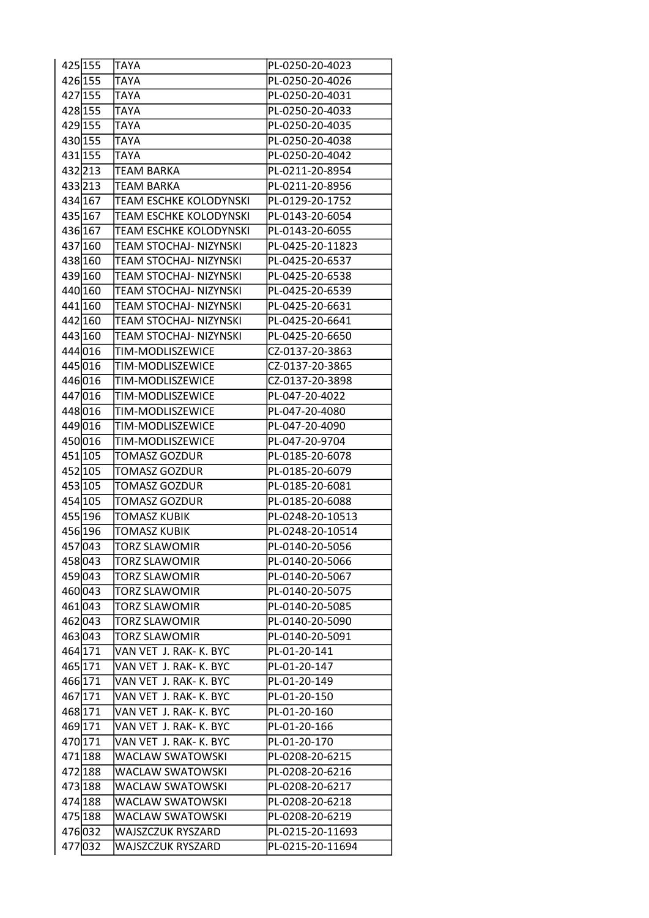| 425 155 | <b>TAYA</b>            | PL-0250-20-4023  |
|---------|------------------------|------------------|
| 426 155 | TAYA                   | PL-0250-20-4026  |
| 427 155 | <b>TAYA</b>            | PL-0250-20-4031  |
| 428 155 | TAYA                   | PL-0250-20-4033  |
| 429 155 | <b>TAYA</b>            | PL-0250-20-4035  |
| 430 155 | <b>TAYA</b>            | PL-0250-20-4038  |
| 431 155 | <b>TAYA</b>            | PL-0250-20-4042  |
| 432213  | TEAM BARKA             | PL-0211-20-8954  |
| 433213  | <b>TEAM BARKA</b>      | PL-0211-20-8956  |
| 434 167 | TEAM ESCHKE KOLODYNSKI | PL-0129-20-1752  |
| 435 167 | TEAM ESCHKE KOLODYNSKI | PL-0143-20-6054  |
| 436 167 | TEAM ESCHKE KOLODYNSKI | PL-0143-20-6055  |
| 437 160 | TEAM STOCHAJ- NIZYNSKI | PL-0425-20-11823 |
| 438 160 | TEAM STOCHAJ- NIZYNSKI | PL-0425-20-6537  |
| 439 160 | TEAM STOCHAJ- NIZYNSKI | PL-0425-20-6538  |
| 440 160 | TEAM STOCHAJ- NIZYNSKI | PL-0425-20-6539  |
| 441 160 | TEAM STOCHAJ- NIZYNSKI | PL-0425-20-6631  |
| 442 160 | TEAM STOCHAJ- NIZYNSKI | PL-0425-20-6641  |
| 443 160 | TEAM STOCHAJ- NIZYNSKI | PL-0425-20-6650  |
| 444016  | TIM-MODLISZEWICE       | CZ-0137-20-3863  |
| 445 016 | TIM-MODLISZEWICE       | CZ-0137-20-3865  |
| 446 016 | TIM-MODLISZEWICE       | CZ-0137-20-3898  |
| 447 016 | TIM-MODLISZEWICE       | PL-047-20-4022   |
| 448 016 | TIM-MODLISZEWICE       | PL-047-20-4080   |
| 449 016 | TIM-MODLISZEWICE       | PL-047-20-4090   |
| 450016  | TIM-MODLISZEWICE       | PL-047-20-9704   |
| 451 105 | <b>TOMASZ GOZDUR</b>   | PL-0185-20-6078  |
| 452 105 | TOMASZ GOZDUR          | PL-0185-20-6079  |
| 453 105 | TOMASZ GOZDUR          | PL-0185-20-6081  |
| 454 105 | <b>TOMASZ GOZDUR</b>   | PL-0185-20-6088  |
| 455 196 | TOMASZ KUBIK           | PL-0248-20-10513 |
| 456 196 |                        | PL-0248-20-10514 |
|         | TOMASZ KUBIK           |                  |
| 457043  | <b>TORZ SLAWOMIR</b>   | PL-0140-20-5056  |
| 458043  | TORZ SLAWOMIR          | PL-0140-20-5066  |
| 459043  | <b>TORZ SLAWOMIR</b>   | PL-0140-20-5067  |
| 460043  | <b>TORZ SLAWOMIR</b>   | PL-0140-20-5075  |
| 461 043 | <b>TORZ SLAWOMIR</b>   | PL-0140-20-5085  |
| 462 043 | TORZ SLAWOMIR          | PL-0140-20-5090  |
| 463043  | <b>TORZ SLAWOMIR</b>   | PL-0140-20-5091  |
| 464 171 | VAN VET J. RAK- K. BYC | PL-01-20-141     |
| 465 171 | VAN VET J. RAK- K. BYC | PL-01-20-147     |
| 466 171 | VAN VET J. RAK- K. BYC | PL-01-20-149     |
| 467 171 | VAN VET J. RAK- K. BYC | PL-01-20-150     |
| 468 171 | VAN VET J. RAK- K. BYC | PL-01-20-160     |
| 469 171 | VAN VET J. RAK- K. BYC | PL-01-20-166     |
| 470 171 | VAN VET J. RAK- K. BYC | PL-01-20-170     |
| 471 188 | WACLAW SWATOWSKI       | PL-0208-20-6215  |
| 472 188 | WACLAW SWATOWSKI       | PL-0208-20-6216  |
| 473 188 | WACLAW SWATOWSKI       | PL-0208-20-6217  |
| 474 188 | WACLAW SWATOWSKI       | PL-0208-20-6218  |
| 475 188 | WACLAW SWATOWSKI       | PL-0208-20-6219  |
| 476032  | WAJSZCZUK RYSZARD      | PL-0215-20-11693 |
| 477032  | WAJSZCZUK RYSZARD      | PL-0215-20-11694 |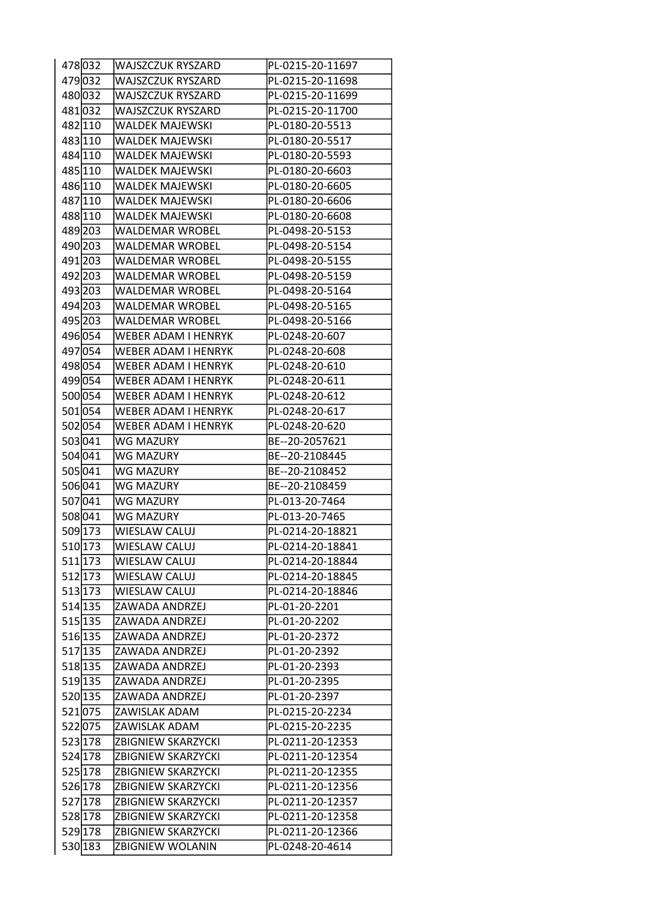| 478032              | <b>WAJSZCZUK RYSZARD</b>   | PL-0215-20-11697 |
|---------------------|----------------------------|------------------|
| 479032              | WAJSZCZUK RYSZARD          | PL-0215-20-11698 |
| 480032              | <b>WAJSZCZUK RYSZARD</b>   | PL-0215-20-11699 |
| 481032              | <b>WAJSZCZUK RYSZARD</b>   | PL-0215-20-11700 |
| 482 110             | <b>WALDEK MAJEWSKI</b>     | PL-0180-20-5513  |
| 483 110             | <b>WALDEK MAJEWSKI</b>     | PL-0180-20-5517  |
| 484 110             | <b>WALDEK MAJEWSKI</b>     | PL-0180-20-5593  |
| 485 110             | <b>WALDEK MAJEWSKI</b>     | PL-0180-20-6603  |
| 486 110             | <b>WALDEK MAJEWSKI</b>     | PL-0180-20-6605  |
| 487 110             | <b>WALDEK MAJEWSKI</b>     | PL-0180-20-6606  |
| 488 110             | <b>WALDEK MAJEWSKI</b>     | PL-0180-20-6608  |
| 489 203             | <b>WALDEMAR WROBEL</b>     | PL-0498-20-5153  |
| 490 203             | <b>WALDEMAR WROBEL</b>     | PL-0498-20-5154  |
| 491 203             | <b>WALDEMAR WROBEL</b>     | PL-0498-20-5155  |
| 492 203             | <b>WALDEMAR WROBEL</b>     | PL-0498-20-5159  |
| 493 203             | <b>WALDEMAR WROBEL</b>     | PL-0498-20-5164  |
| 494 203             | <b>WALDEMAR WROBEL</b>     | PL-0498-20-5165  |
| 495 203             | <b>WALDEMAR WROBEL</b>     | PL-0498-20-5166  |
| 496 054             | <b>WEBER ADAM I HENRYK</b> | PL-0248-20-607   |
| 497 054             | <b>WEBER ADAM I HENRYK</b> | PL-0248-20-608   |
| 498 054             | WEBER ADAM I HENRYK        | PL-0248-20-610   |
| 499 054             | <b>WEBER ADAM I HENRYK</b> | PL-0248-20-611   |
| 500054              | <b>WEBER ADAM I HENRYK</b> | PL-0248-20-612   |
| 501054              | <b>WEBER ADAM I HENRYK</b> | PL-0248-20-617   |
| 502 054             | WEBER ADAM I HENRYK        | PL-0248-20-620   |
| 503041              | <b>WG MAZURY</b>           | BE--20-2057621   |
| $504\overline{041}$ | <b>WG MAZURY</b>           | BE--20-2108445   |
| 505 041             | <b>WG MAZURY</b>           | BE--20-2108452   |
| 506041              | <b>WG MAZURY</b>           | BE--20-2108459   |
| 507 041             | <b>WG MAZURY</b>           | PL-013-20-7464   |
| 508041              | <b>WG MAZURY</b>           | PL-013-20-7465   |
| 509 173             | <b>WIESLAW CALUJ</b>       | PL-0214-20-18821 |
| $510\overline{173}$ | <b>WIESLAW CALUJ</b>       | PL-0214-20-18841 |
| 511 173             | WIESLAW CALUJ              | PL-0214-20-18844 |
| 512 173             | <b>WIESLAW CALUJ</b>       | PL-0214-20-18845 |
| 513 173             | <b>WIESLAW CALUJ</b>       | PL-0214-20-18846 |
| 514 135             | ZAWADA ANDRZEJ             | PL-01-20-2201    |
| 515 135             | ZAWADA ANDRZEJ             | PL-01-20-2202    |
| 516 135             | ZAWADA ANDRZEJ             | PL-01-20-2372    |
| 517 135             | ZAWADA ANDRZEJ             | PL-01-20-2392    |
| 518 135             | ZAWADA ANDRZEJ             | PL-01-20-2393    |
| 519 135             | ZAWADA ANDRZEJ             | PL-01-20-2395    |
| 520 135             | ZAWADA ANDRZEJ             | PL-01-20-2397    |
| 521075              | ZAWISLAK ADAM              | PL-0215-20-2234  |
| 522 075             | ZAWISLAK ADAM              | PL-0215-20-2235  |
| 523 178             | <b>ZBIGNIEW SKARZYCKI</b>  | PL-0211-20-12353 |
| 524 178             | <b>ZBIGNIEW SKARZYCKI</b>  | PL-0211-20-12354 |
| 525 178             | ZBIGNIEW SKARZYCKI         | PL-0211-20-12355 |
| 526 178             | <b>ZBIGNIEW SKARZYCKI</b>  | PL-0211-20-12356 |
| 527 178             | <b>ZBIGNIEW SKARZYCKI</b>  | PL-0211-20-12357 |
| 528 178             | <b>ZBIGNIEW SKARZYCKI</b>  | PL-0211-20-12358 |
| 529 178             | <b>ZBIGNIEW SKARZYCKI</b>  | PL-0211-20-12366 |
| 530 183             | ZBIGNIEW WOLANIN           | PL-0248-20-4614  |
|                     |                            |                  |